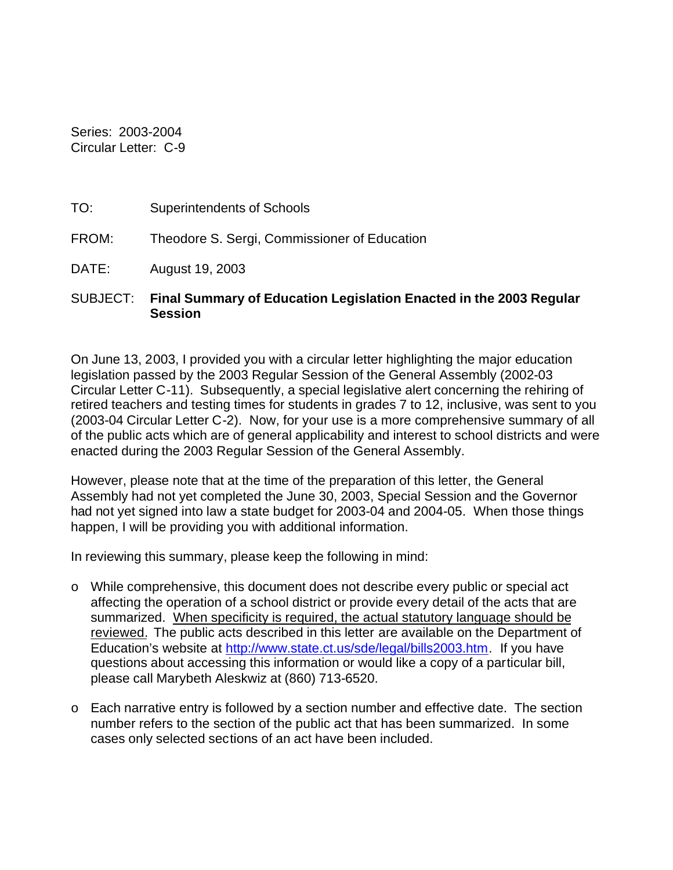Series: 2003-2004 Circular Letter: C-9

TO: Superintendents of Schools

FROM: Theodore S. Sergi, Commissioner of Education

DATE: August 19, 2003

#### SUBJECT: **Final Summary of Education Legislation Enacted in the 2003 Regular Session**

On June 13, 2003, I provided you with a circular letter highlighting the major education legislation passed by the 2003 Regular Session of the General Assembly (2002-03 Circular Letter C-11). Subsequently, a special legislative alert concerning the rehiring of retired teachers and testing times for students in grades 7 to 12, inclusive, was sent to you (2003-04 Circular Letter C-2). Now, for your use is a more comprehensive summary of all of the public acts which are of general applicability and interest to school districts and were enacted during the 2003 Regular Session of the General Assembly.

However, please note that at the time of the preparation of this letter, the General Assembly had not yet completed the June 30, 2003, Special Session and the Governor had not yet signed into law a state budget for 2003-04 and 2004-05. When those things happen, I will be providing you with additional information.

In reviewing this summary, please keep the following in mind:

- o While comprehensive, this document does not describe every public or special act affecting the operation of a school district or provide every detail of the acts that are summarized. When specificity is required, the actual statutory language should be reviewed. The public acts described in this letter are available on the Department of Education's website at http://www.state.ct.us/sde/legal/bills2003.htm. If you have questions about accessing this information or would like a copy of a particular bill, please call Marybeth Aleskwiz at (860) 713-6520.
- $\circ$  Each narrative entry is followed by a section number and effective date. The section number refers to the section of the public act that has been summarized. In some cases only selected sections of an act have been included.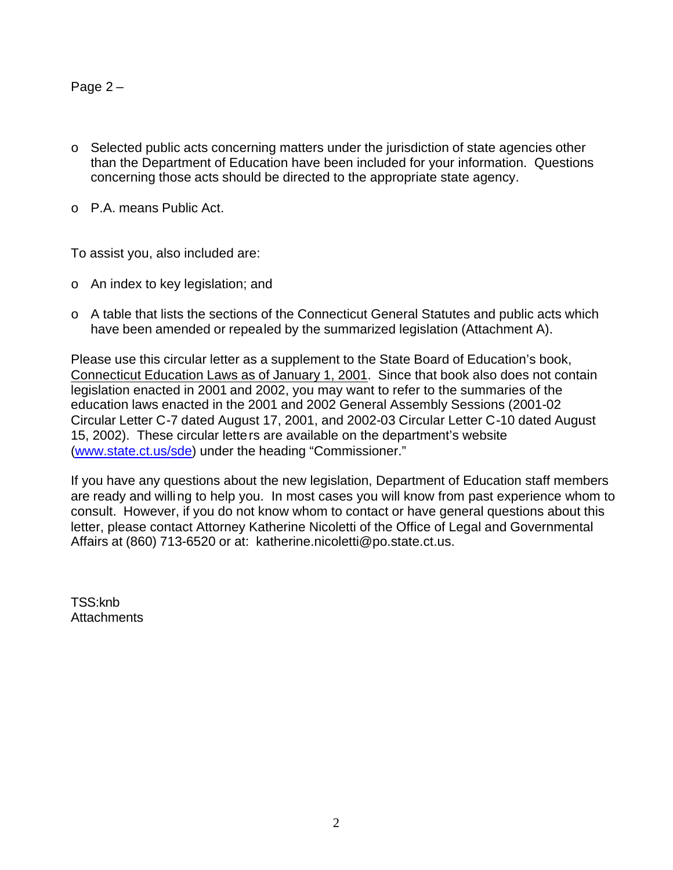Page 2 –

- o Selected public acts concerning matters under the jurisdiction of state agencies other than the Department of Education have been included for your information. Questions concerning those acts should be directed to the appropriate state agency.
- o P.A. means Public Act.

To assist you, also included are:

- o An index to key legislation; and
- o A table that lists the sections of the Connecticut General Statutes and public acts which have been amended or repealed by the summarized legislation (Attachment A).

Please use this circular letter as a supplement to the State Board of Education's book, Connecticut Education Laws as of January 1, 2001. Since that book also does not contain legislation enacted in 2001 and 2002, you may want to refer to the summaries of the education laws enacted in the 2001 and 2002 General Assembly Sessions (2001-02 Circular Letter C-7 dated August 17, 2001, and 2002-03 Circular Letter C-10 dated August 15, 2002). These circular letters are available on the department's website (www.state.ct.us/sde) under the heading "Commissioner."

If you have any questions about the new legislation, Department of Education staff members are ready and willing to help you. In most cases you will know from past experience whom to consult. However, if you do not know whom to contact or have general questions about this letter, please contact Attorney Katherine Nicoletti of the Office of Legal and Governmental Affairs at (860) 713-6520 or at: katherine.nicoletti@po.state.ct.us.

TSS:knb **Attachments**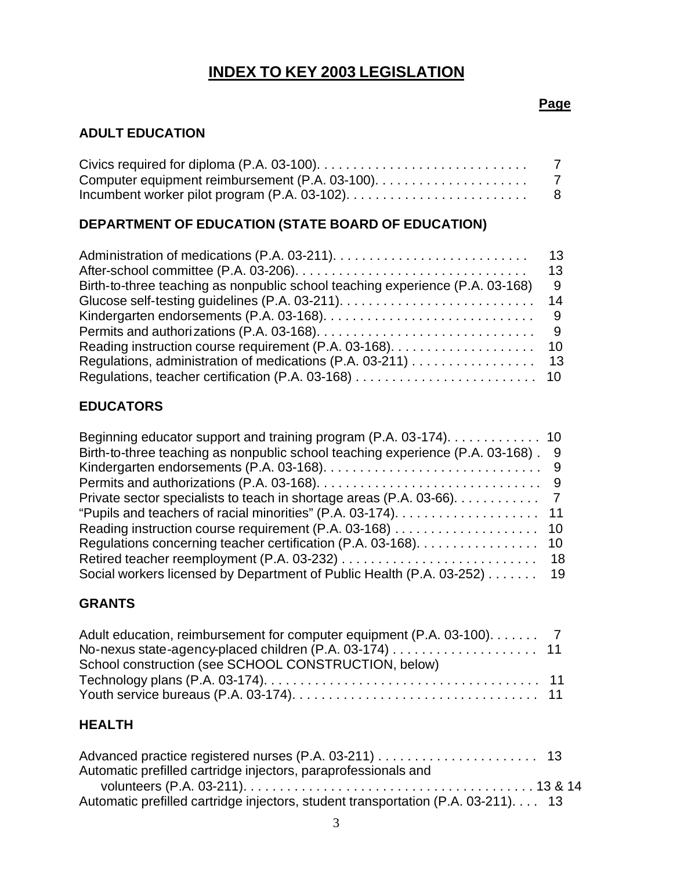# **INDEX TO KEY 2003 LEGISLATION**

## **ADULT EDUCATION**

| - 8 |
|-----|

# **DEPARTMENT OF EDUCATION (STATE BOARD OF EDUCATION)**

|                                                                               | 13 |
|-------------------------------------------------------------------------------|----|
| Birth-to-three teaching as nonpublic school teaching experience (P.A. 03-168) | 9  |
|                                                                               |    |
|                                                                               |    |
|                                                                               |    |
|                                                                               |    |
|                                                                               |    |
|                                                                               |    |

# **EDUCATORS**

| Beginning educator support and training program (P.A. 03-174). 10                |  |
|----------------------------------------------------------------------------------|--|
| Birth-to-three teaching as nonpublic school teaching experience (P.A. 03-168). 9 |  |
|                                                                                  |  |
|                                                                                  |  |
| Private sector specialists to teach in shortage areas (P.A. 03-66). 7            |  |
|                                                                                  |  |
|                                                                                  |  |
| Regulations concerning teacher certification (P.A. 03-168). 10                   |  |
|                                                                                  |  |
| Social workers licensed by Department of Public Health (P.A. 03-252) 19          |  |

# **GRANTS**

| School construction (see SCHOOL CONSTRUCTION, below) |  |
|------------------------------------------------------|--|
|                                                      |  |
|                                                      |  |

# **HEALTH**

| Automatic prefilled cartridge injectors, paraprofessionals and                   |  |
|----------------------------------------------------------------------------------|--|
|                                                                                  |  |
| Automatic prefilled cartridge injectors, student transportation (P.A. 03-211) 13 |  |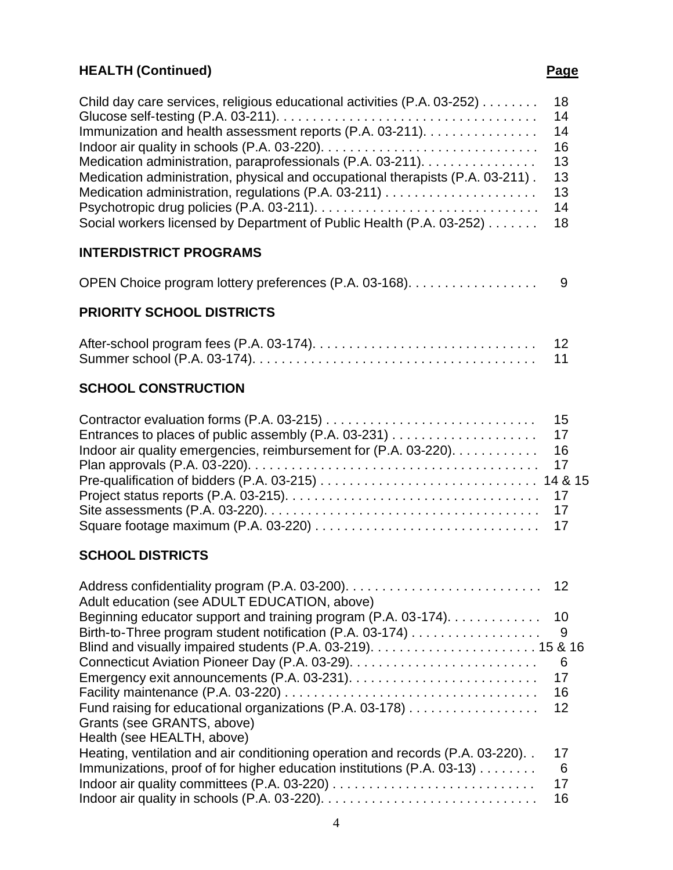# **HEALTH (Continued) Page 2014**

| Child day care services, religious educational activities $(P.A. 03-252) \ldots \ldots$ | 18              |
|-----------------------------------------------------------------------------------------|-----------------|
|                                                                                         | 14              |
|                                                                                         |                 |
| Immunization and health assessment reports (P.A. 03-211).                               | 14              |
|                                                                                         | 16              |
| Medication administration, paraprofessionals (P.A. 03-211).                             | 13              |
| Medication administration, physical and occupational therapists (P.A. 03-211).          | 13 <sup>°</sup> |
| Medication administration, regulations (P.A. 03-211)                                    | 13              |
|                                                                                         | 14              |
| Social workers licensed by Department of Public Health (P.A. 03-252)                    | 18              |

# **INTERDISTRICT PROGRAMS**

|  |  | OPEN Choice program lottery preferences (P.A. 03-168). |  |
|--|--|--------------------------------------------------------|--|
|  |  |                                                        |  |

# **PRIORITY SCHOOL DISTRICTS**

# **SCHOOL CONSTRUCTION**

| Indoor air quality emergencies, reimbursement for (P.A. 03-220). 16 |  |
|---------------------------------------------------------------------|--|
|                                                                     |  |
|                                                                     |  |
|                                                                     |  |
|                                                                     |  |
|                                                                     |  |

# **SCHOOL DISTRICTS**

| Adult education (see ADULT EDUCATION, above)                                   |    |
|--------------------------------------------------------------------------------|----|
| Beginning educator support and training program (P.A. 03-174).                 | 10 |
| Birth-to-Three program student notification (P.A. 03-174)                      | 9  |
|                                                                                |    |
|                                                                                | 6  |
|                                                                                | 17 |
|                                                                                | 16 |
| Fund raising for educational organizations (P.A. 03-178)                       | 12 |
| Grants (see GRANTS, above)                                                     |    |
| Health (see HEALTH, above)                                                     |    |
| Heating, ventilation and air conditioning operation and records (P.A. 03-220). | 17 |
| Immunizations, proof of for higher education institutions (P.A. 03-13)         | 6  |
|                                                                                | 17 |
|                                                                                | 16 |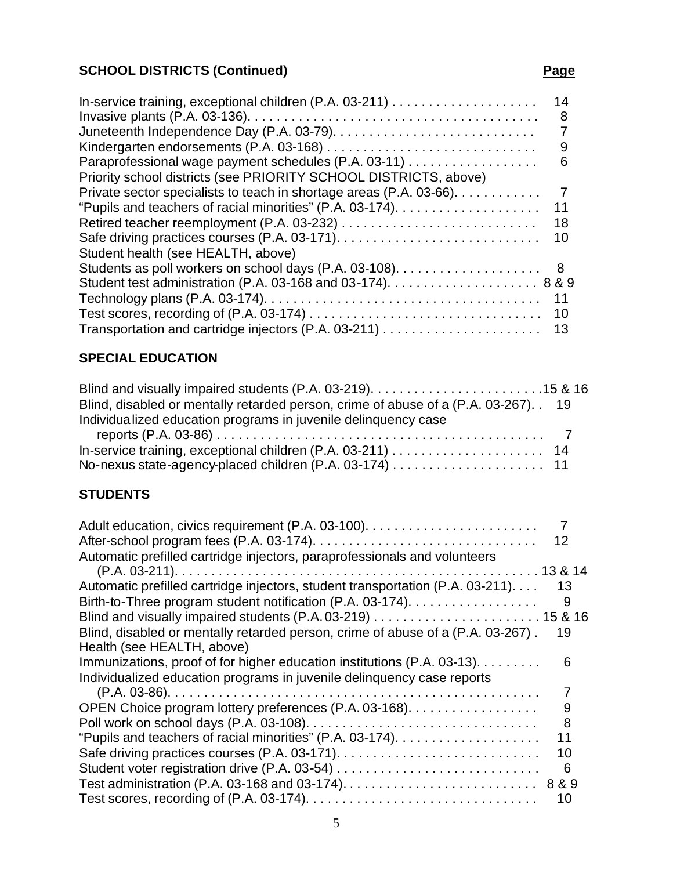### **SCHOOL DISTRICTS (Continued)** Page **Page 2014**

#### In-service training, exceptional children (P.A. 03-211) . . . . . . . . . . . . . . . . . . . . 14 Invasive plants (P.A. 03-136). . . . . . . . . . . . . . . . . . . . . . . . . . . . . . . . . . . . . . . . 8 Juneteenth Independence Day (P.A. 03-79). . . . . . . . . . . . . . . . . . . . . . . . . . . . 7 Kindergarten endorsements (P.A. 03-168) . . . . . . . . . . . . . . . . . . . . . . . . . . . . . 9 Paraprofessional wage payment schedules (P.A. 03-11) . . . . . . . . . . . . . . . . . . 6 Priority school districts (see PRIORITY SCHOOL DISTRICTS, above) Private sector specialists to teach in shortage areas (P.A. 03-66). . . . . . . . . . . . . 7 "Pupils and teachers of racial minorities" (P.A. 03-174). . . . . . . . . . . . . . . . . . . . 11 Retired teacher reemployment (P.A. 03-232) . . . . . . . . . . . . . . . . . . . . . . . . . . . 18 Safe driving practices courses (P.A. 03-171). . . . . . . . . . . . . . . . . . . . . . . . . . . . 10 Student health (see HEALTH, above) Students as poll workers on school days (P.A. 03-108). . . . . . . . . . . . . . . . . . . . 8 Student test administration (P.A. 03-168 and 03-174). . . . . . . . . . . . . . . . . . . . . 8 & 9 Technology plans (P.A. 03-174). . . . . . . . . . . . . . . . . . . . . . . . . . . . . . . . . . . . . . 11 Test scores, recording of (P.A. 03-174) . . . . . . . . . . . . . . . . . . . . . . . . . . . . . . . . 10 Transportation and cartridge injectors (P.A. 03-211) . . . . . . . . . . . . . . . . . . . . . . 13

## **SPECIAL EDUCATION**

| Blind, disabled or mentally retarded person, crime of abuse of a (P.A. 03-267). . 19 |  |
|--------------------------------------------------------------------------------------|--|
| Individualized education programs in juvenile delinquency case                       |  |
|                                                                                      |  |
|                                                                                      |  |
|                                                                                      |  |

## **STUDENTS**

|                                                                                 | 12    |
|---------------------------------------------------------------------------------|-------|
| Automatic prefilled cartridge injectors, paraprofessionals and volunteers       |       |
|                                                                                 |       |
| Automatic prefilled cartridge injectors, student transportation (P.A. 03-211).  | 13    |
| Birth-to-Three program student notification (P.A. 03-174).                      | 9     |
|                                                                                 |       |
| Blind, disabled or mentally retarded person, crime of abuse of a (P.A. 03-267). | 19    |
| Health (see HEALTH, above)                                                      |       |
| Immunizations, proof of for higher education institutions (P.A. 03-13).         | 6     |
| Individualized education programs in juvenile delinquency case reports          |       |
|                                                                                 |       |
| OPEN Choice program lottery preferences (P.A. 03-168).                          | 9     |
|                                                                                 | 8     |
|                                                                                 | 11    |
|                                                                                 | 10    |
|                                                                                 | 6     |
|                                                                                 | 8 & 9 |
|                                                                                 | 10    |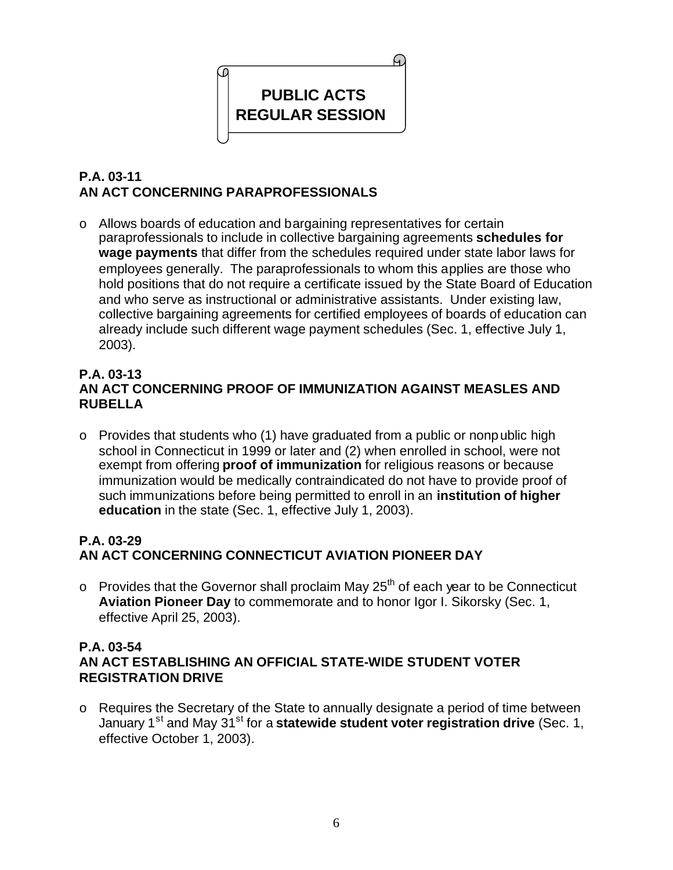# **PUBLIC ACTS REGULAR SESSION**

# **P.A. 03-11 AN ACT CONCERNING PARAPROFESSIONALS**

o Allows boards of education and bargaining representatives for certain paraprofessionals to include in collective bargaining agreements **schedules for wage payments** that differ from the schedules required under state labor laws for employees generally. The paraprofessionals to whom this applies are those who hold positions that do not require a certificate issued by the State Board of Education and who serve as instructional or administrative assistants. Under existing law, collective bargaining agreements for certified employees of boards of education can already include such different wage payment schedules (Sec. 1, effective July 1, 2003).

## **P.A. 03-13 AN ACT CONCERNING PROOF OF IMMUNIZATION AGAINST MEASLES AND RUBELLA**

o Provides that students who (1) have graduated from a public or nonpublic high school in Connecticut in 1999 or later and (2) when enrolled in school, were not exempt from offering **proof of immunization** for religious reasons or because immunization would be medically contraindicated do not have to provide proof of such immunizations before being permitted to enroll in an **institution of higher education** in the state (Sec. 1, effective July 1, 2003).

# **P.A. 03-29 AN ACT CONCERNING CONNECTICUT AVIATION PIONEER DAY**

 $\circ$  Provides that the Governor shall proclaim May 25<sup>th</sup> of each year to be Connecticut **Aviation Pioneer Day** to commemorate and to honor Igor I. Sikorsky (Sec. 1, effective April 25, 2003).

#### **P.A. 03-54 AN ACT ESTABLISHING AN OFFICIAL STATE-WIDE STUDENT VOTER REGISTRATION DRIVE**

o Requires the Secretary of the State to annually designate a period of time between January 1<sup>st</sup> and May 31<sup>st</sup> for a **statewide student voter registration drive** (Sec. 1, effective October 1, 2003).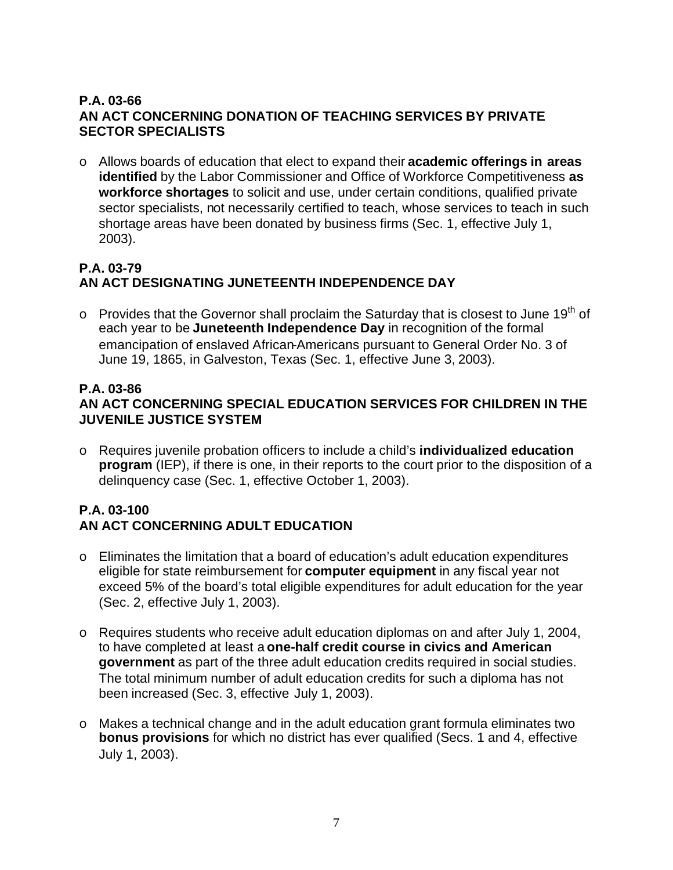#### **P.A. 03-66 AN ACT CONCERNING DONATION OF TEACHING SERVICES BY PRIVATE SECTOR SPECIALISTS**

o Allows boards of education that elect to expand their **academic offerings in areas identified** by the Labor Commissioner and Office of Workforce Competitiveness **as workforce shortages** to solicit and use, under certain conditions, qualified private sector specialists, not necessarily certified to teach, whose services to teach in such shortage areas have been donated by business firms (Sec. 1, effective July 1, 2003).

# **P.A. 03-79 AN ACT DESIGNATING JUNETEENTH INDEPENDENCE DAY**

 $\circ$  Provides that the Governor shall proclaim the Saturday that is closest to June 19<sup>th</sup> of each year to be **Juneteenth Independence Day** in recognition of the formal emancipation of enslaved African-Americans pursuant to General Order No. 3 of June 19, 1865, in Galveston, Texas (Sec. 1, effective June 3, 2003).

#### **P.A. 03-86 AN ACT CONCERNING SPECIAL EDUCATION SERVICES FOR CHILDREN IN THE JUVENILE JUSTICE SYSTEM**

o Requires juvenile probation officers to include a child's **individualized education program** (IEP), if there is one, in their reports to the court prior to the disposition of a delinquency case (Sec. 1, effective October 1, 2003).

# **P.A. 03-100 AN ACT CONCERNING ADULT EDUCATION**

- o Eliminates the limitation that a board of education's adult education expenditures eligible for state reimbursement for **computer equipment** in any fiscal year not exceed 5% of the board's total eligible expenditures for adult education for the year (Sec. 2, effective July 1, 2003).
- o Requires students who receive adult education diplomas on and after July 1, 2004, to have completed at least a **one-half credit course in civics and American government** as part of the three adult education credits required in social studies. The total minimum number of adult education credits for such a diploma has not been increased (Sec. 3, effective July 1, 2003).
- o Makes a technical change and in the adult education grant formula eliminates two **bonus provisions** for which no district has ever qualified (Secs. 1 and 4, effective July 1, 2003).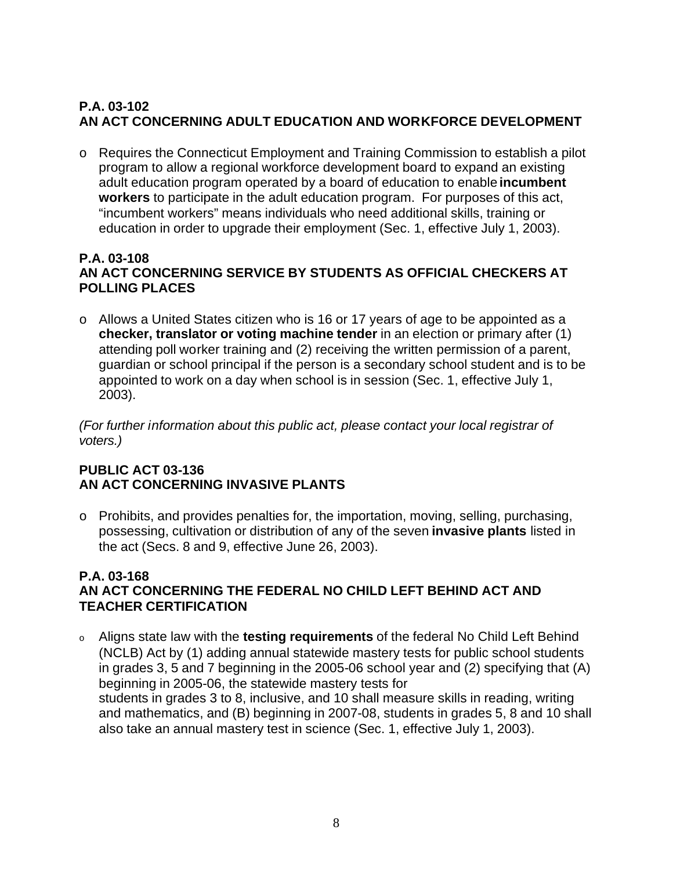#### **P.A. 03-102 AN ACT CONCERNING ADULT EDUCATION AND WORKFORCE DEVELOPMENT**

 $\circ$  Requires the Connecticut Employment and Training Commission to establish a pilot program to allow a regional workforce development board to expand an existing adult education program operated by a board of education to enable **incumbent workers** to participate in the adult education program. For purposes of this act, "incumbent workers" means individuals who need additional skills, training or education in order to upgrade their employment (Sec. 1, effective July 1, 2003).

#### **P.A. 03-108 AN ACT CONCERNING SERVICE BY STUDENTS AS OFFICIAL CHECKERS AT POLLING PLACES**

o Allows a United States citizen who is 16 or 17 years of age to be appointed as a **checker, translator or voting machine tender** in an election or primary after (1) attending poll worker training and (2) receiving the written permission of a parent, guardian or school principal if the person is a secondary school student and is to be appointed to work on a day when school is in session (Sec. 1, effective July 1, 2003).

*(For further information about this public act, please contact your local registrar of voters.)* 

#### **PUBLIC ACT 03-136 AN ACT CONCERNING INVASIVE PLANTS**

o Prohibits, and provides penalties for, the importation, moving, selling, purchasing, possessing, cultivation or distribution of any of the seven **invasive plants** listed in the act (Secs. 8 and 9, effective June 26, 2003).

#### **P.A. 03-168 AN ACT CONCERNING THE FEDERAL NO CHILD LEFT BEHIND ACT AND TEACHER CERTIFICATION**

<sup>o</sup>Aligns state law with the **testing requirements** of the federal No Child Left Behind (NCLB) Act by (1) adding annual statewide mastery tests for public school students in grades 3, 5 and 7 beginning in the 2005-06 school year and (2) specifying that (A) beginning in 2005-06, the statewide mastery tests for students in grades 3 to 8, inclusive, and 10 shall measure skills in reading, writing and mathematics, and (B) beginning in 2007-08, students in grades 5, 8 and 10 shall also take an annual mastery test in science (Sec. 1, effective July 1, 2003).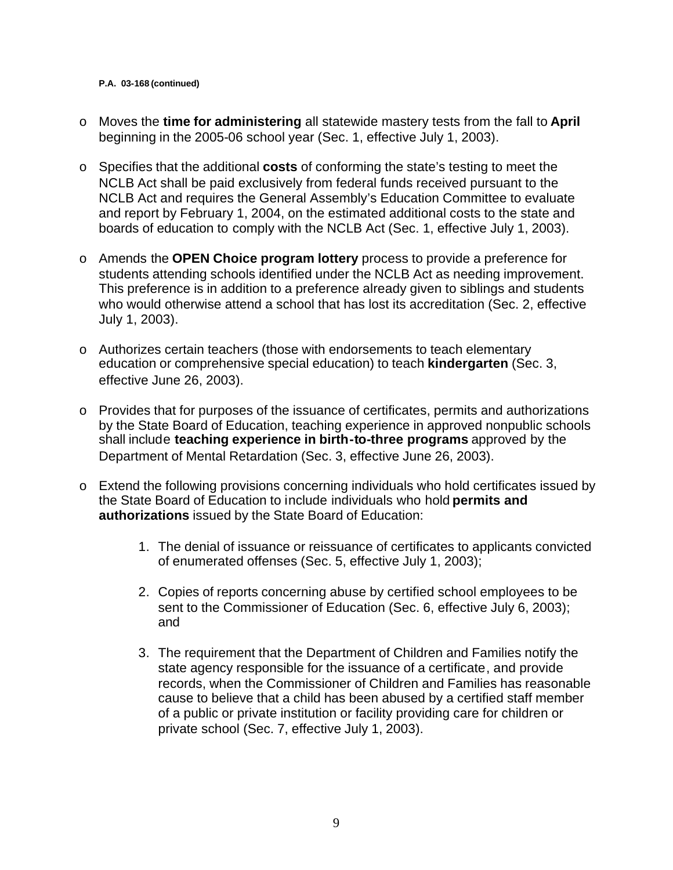#### **P.A. 03-168 (continued)**

- o Moves the **time for administering** all statewide mastery tests from the fall to **April**  beginning in the 2005-06 school year (Sec. 1, effective July 1, 2003).
- o Specifies that the additional **costs** of conforming the state's testing to meet the NCLB Act shall be paid exclusively from federal funds received pursuant to the NCLB Act and requires the General Assembly's Education Committee to evaluate and report by February 1, 2004, on the estimated additional costs to the state and boards of education to comply with the NCLB Act (Sec. 1, effective July 1, 2003).
- o Amends the **OPEN Choice program lottery** process to provide a preference for students attending schools identified under the NCLB Act as needing improvement. This preference is in addition to a preference already given to siblings and students who would otherwise attend a school that has lost its accreditation (Sec. 2, effective July 1, 2003).
- o Authorizes certain teachers (those with endorsements to teach elementary education or comprehensive special education) to teach **kindergarten** (Sec. 3, effective June 26, 2003).
- o Provides that for purposes of the issuance of certificates, permits and authorizations by the State Board of Education, teaching experience in approved nonpublic schools shall include **teaching experience in birth-to-three programs** approved by the Department of Mental Retardation (Sec. 3, effective June 26, 2003).
- o Extend the following provisions concerning individuals who hold certificates issued by the State Board of Education to include individuals who hold **permits and authorizations** issued by the State Board of Education:
	- 1. The denial of issuance or reissuance of certificates to applicants convicted of enumerated offenses (Sec. 5, effective July 1, 2003);
	- 2. Copies of reports concerning abuse by certified school employees to be sent to the Commissioner of Education (Sec. 6, effective July 6, 2003); and
	- 3. The requirement that the Department of Children and Families notify the state agency responsible for the issuance of a certificate, and provide records, when the Commissioner of Children and Families has reasonable cause to believe that a child has been abused by a certified staff member of a public or private institution or facility providing care for children or private school (Sec. 7, effective July 1, 2003).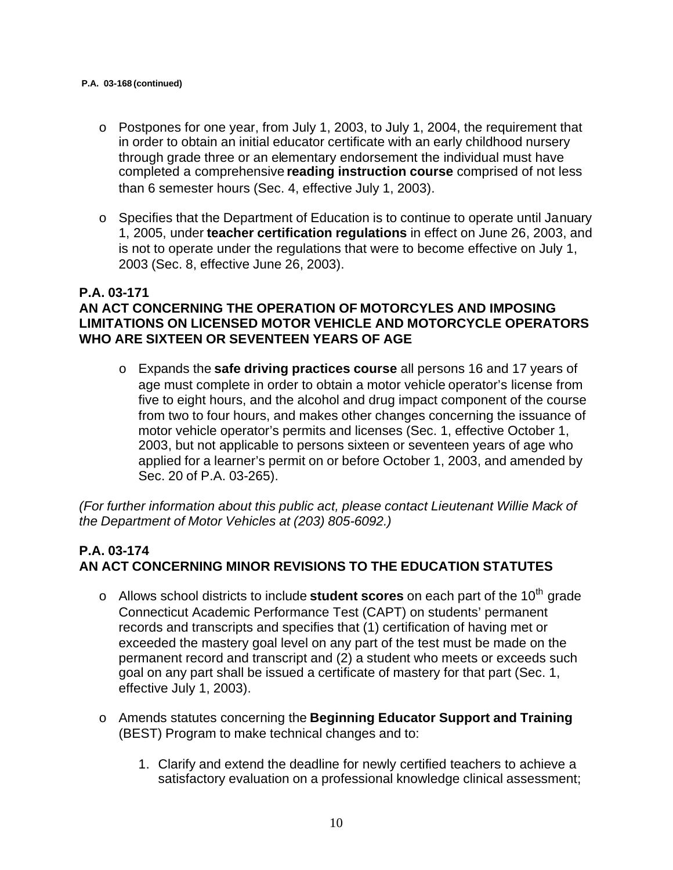#### **P.A. 03-168 (continued)**

- o Postpones for one year, from July 1, 2003, to July 1, 2004, the requirement that in order to obtain an initial educator certificate with an early childhood nursery through grade three or an elementary endorsement the individual must have completed a comprehensive **reading instruction course** comprised of not less than 6 semester hours (Sec. 4, effective July 1, 2003).
- o Specifies that the Department of Education is to continue to operate until January 1, 2005, under **teacher certification regulations** in effect on June 26, 2003, and is not to operate under the regulations that were to become effective on July 1, 2003 (Sec. 8, effective June 26, 2003).

#### **P.A. 03-171 AN ACT CONCERNING THE OPERATION OF MOTORCYLES AND IMPOSING LIMITATIONS ON LICENSED MOTOR VEHICLE AND MOTORCYCLE OPERATORS WHO ARE SIXTEEN OR SEVENTEEN YEARS OF AGE**

o Expands the **safe driving practices course** all persons 16 and 17 years of age must complete in order to obtain a motor vehicle operator's license from five to eight hours, and the alcohol and drug impact component of the course from two to four hours, and makes other changes concerning the issuance of motor vehicle operator's permits and licenses (Sec. 1, effective October 1, 2003, but not applicable to persons sixteen or seventeen years of age who applied for a learner's permit on or before October 1, 2003, and amended by Sec. 20 of P.A. 03-265).

*(For further information about this public act, please contact Lieutenant Willie Mack of the Department of Motor Vehicles at (203) 805-6092.)* 

## **P.A. 03-174 AN ACT CONCERNING MINOR REVISIONS TO THE EDUCATION STATUTES**

- o Allows school districts to include **student scores** on each part of the 10<sup>th</sup> grade Connecticut Academic Performance Test (CAPT) on students' permanent records and transcripts and specifies that (1) certification of having met or exceeded the mastery goal level on any part of the test must be made on the permanent record and transcript and (2) a student who meets or exceeds such goal on any part shall be issued a certificate of mastery for that part (Sec. 1, effective July 1, 2003).
- o Amends statutes concerning the **Beginning Educator Support and Training**  (BEST) Program to make technical changes and to:
	- 1. Clarify and extend the deadline for newly certified teachers to achieve a satisfactory evaluation on a professional knowledge clinical assessment;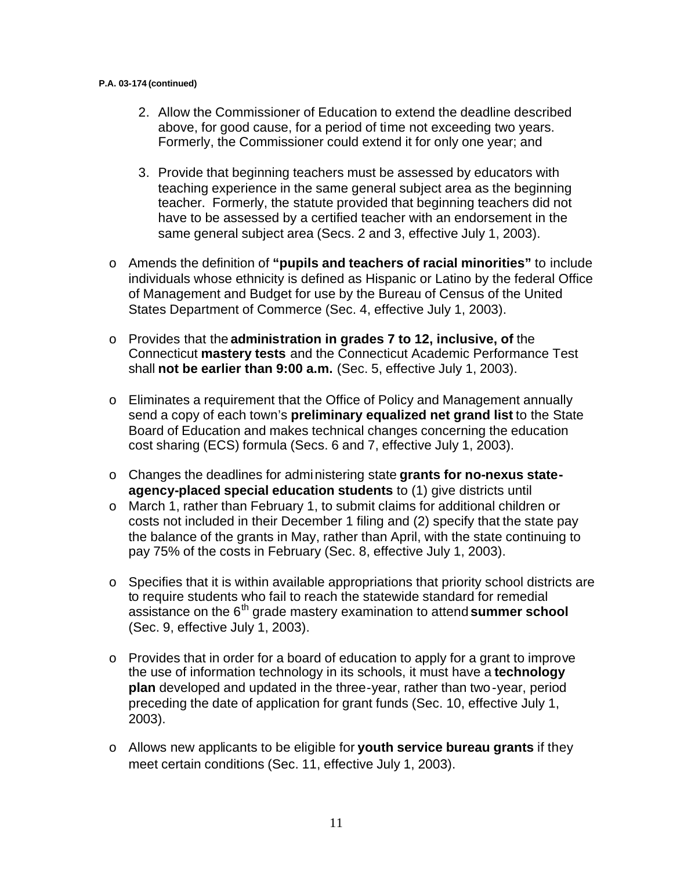#### **P.A. 03-174 (continued)**

- 2. Allow the Commissioner of Education to extend the deadline described above, for good cause, for a period of time not exceeding two years. Formerly, the Commissioner could extend it for only one year; and
- 3. Provide that beginning teachers must be assessed by educators with teaching experience in the same general subject area as the beginning teacher. Formerly, the statute provided that beginning teachers did not have to be assessed by a certified teacher with an endorsement in the same general subject area (Secs. 2 and 3, effective July 1, 2003).
- o Amends the definition of **"pupils and teachers of racial minorities"** to include individuals whose ethnicity is defined as Hispanic or Latino by the federal Office of Management and Budget for use by the Bureau of Census of the United States Department of Commerce (Sec. 4, effective July 1, 2003).
- o Provides that the **administration in grades 7 to 12, inclusive, of** the Connecticut **mastery tests** and the Connecticut Academic Performance Test shall **not be earlier than 9:00 a.m.** (Sec. 5, effective July 1, 2003).
- o Eliminates a requirement that the Office of Policy and Management annually send a copy of each town's **preliminary equalized net grand list** to the State Board of Education and makes technical changes concerning the education cost sharing (ECS) formula (Secs. 6 and 7, effective July 1, 2003).
- o Changes the deadlines for administering state **grants for no-nexus stateagency-placed special education students** to (1) give districts until
- o March 1, rather than February 1, to submit claims for additional children or costs not included in their December 1 filing and (2) specify that the state pay the balance of the grants in May, rather than April, with the state continuing to pay 75% of the costs in February (Sec. 8, effective July 1, 2003).
- o Specifies that it is within available appropriations that priority school districts are to require students who fail to reach the statewide standard for remedial assistance on the 6<sup>th</sup> grade mastery examination to attend **summer school** (Sec. 9, effective July 1, 2003).
- o Provides that in order for a board of education to apply for a grant to improve the use of information technology in its schools, it must have a **technology plan** developed and updated in the three-year, rather than two-year, period preceding the date of application for grant funds (Sec. 10, effective July 1, 2003).
- o Allows new applicants to be eligible for **youth service bureau grants** if they meet certain conditions (Sec. 11, effective July 1, 2003).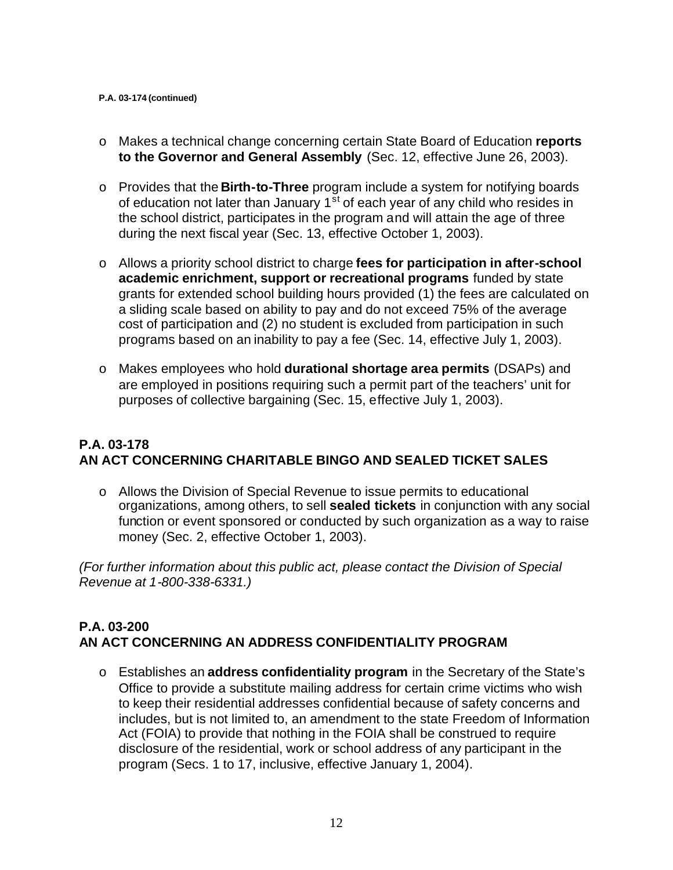#### **P.A. 03-174 (continued)**

- o Makes a technical change concerning certain State Board of Education **reports to the Governor and General Assembly** (Sec. 12, effective June 26, 2003).
- o Provides that the **Birth-to-Three** program include a system for notifying boards of education not later than January  $1<sup>st</sup>$  of each year of any child who resides in the school district, participates in the program and will attain the age of three during the next fiscal year (Sec. 13, effective October 1, 2003).
- o Allows a priority school district to charge **fees for participation in after-school academic enrichment, support or recreational programs** funded by state grants for extended school building hours provided (1) the fees are calculated on a sliding scale based on ability to pay and do not exceed 75% of the average cost of participation and (2) no student is excluded from participation in such programs based on an inability to pay a fee (Sec. 14, effective July 1, 2003).
- o Makes employees who hold **durational shortage area permits** (DSAPs) and are employed in positions requiring such a permit part of the teachers' unit for purposes of collective bargaining (Sec. 15, effective July 1, 2003).

## **P.A. 03-178 AN ACT CONCERNING CHARITABLE BINGO AND SEALED TICKET SALES**

o Allows the Division of Special Revenue to issue permits to educational organizations, among others, to sell **sealed tickets** in conjunction with any social function or event sponsored or conducted by such organization as a way to raise money (Sec. 2, effective October 1, 2003).

*(For further information about this public act, please contact the Division of Special Revenue at 1-800-338-6331.)* 

## **P.A. 03-200 AN ACT CONCERNING AN ADDRESS CONFIDENTIALITY PROGRAM**

o Establishes an **address confidentiality program** in the Secretary of the State's Office to provide a substitute mailing address for certain crime victims who wish to keep their residential addresses confidential because of safety concerns and includes, but is not limited to, an amendment to the state Freedom of Information Act (FOIA) to provide that nothing in the FOIA shall be construed to require disclosure of the residential, work or school address of any participant in the program (Secs. 1 to 17, inclusive, effective January 1, 2004).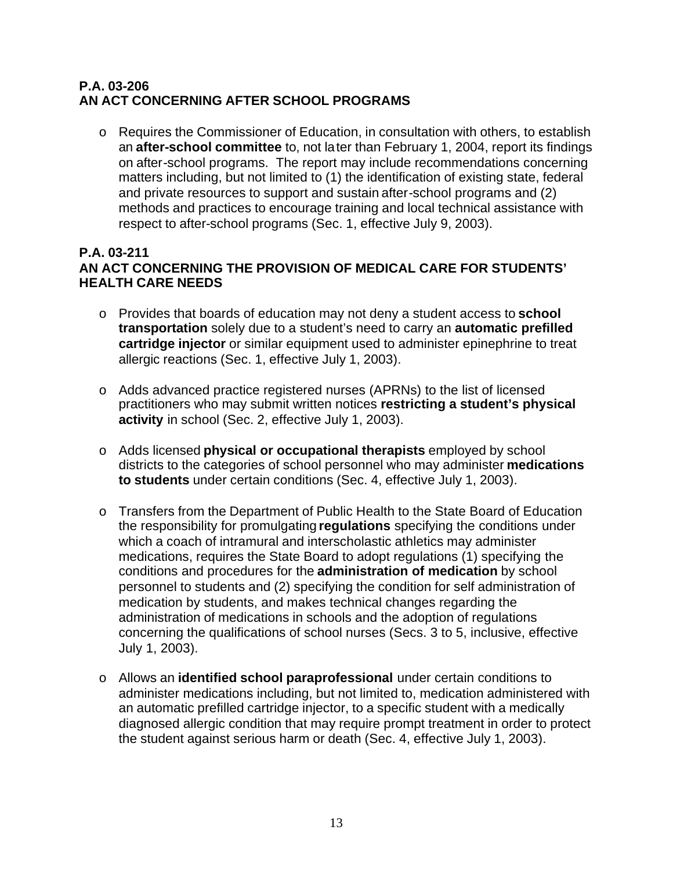#### **P.A. 03-206 AN ACT CONCERNING AFTER SCHOOL PROGRAMS**

o Requires the Commissioner of Education, in consultation with others, to establish an **after-school committee** to, not later than February 1, 2004, report its findings on after-school programs. The report may include recommendations concerning matters including, but not limited to (1) the identification of existing state, federal and private resources to support and sustain after-school programs and (2) methods and practices to encourage training and local technical assistance with respect to after-school programs (Sec. 1, effective July 9, 2003).

#### **P.A. 03-211 AN ACT CONCERNING THE PROVISION OF MEDICAL CARE FOR STUDENTS' HEALTH CARE NEEDS**

- o Provides that boards of education may not deny a student access to **school transportation** solely due to a student's need to carry an **automatic prefilled cartridge injector** or similar equipment used to administer epinephrine to treat allergic reactions (Sec. 1, effective July 1, 2003).
- o Adds advanced practice registered nurses (APRNs) to the list of licensed practitioners who may submit written notices **restricting a student's physical activity** in school (Sec. 2, effective July 1, 2003).
- o Adds licensed **physical or occupational therapists** employed by school districts to the categories of school personnel who may administer **medications to students** under certain conditions (Sec. 4, effective July 1, 2003).
- o Transfers from the Department of Public Health to the State Board of Education the responsibility for promulgating **regulations** specifying the conditions under which a coach of intramural and interscholastic athletics may administer medications, requires the State Board to adopt regulations (1) specifying the conditions and procedures for the **administration of medication** by school personnel to students and (2) specifying the condition for self administration of medication by students, and makes technical changes regarding the administration of medications in schools and the adoption of regulations concerning the qualifications of school nurses (Secs. 3 to 5, inclusive, effective July 1, 2003).
- o Allows an **identified school paraprofessional** under certain conditions to administer medications including, but not limited to, medication administered with an automatic prefilled cartridge injector, to a specific student with a medically diagnosed allergic condition that may require prompt treatment in order to protect the student against serious harm or death (Sec. 4, effective July 1, 2003).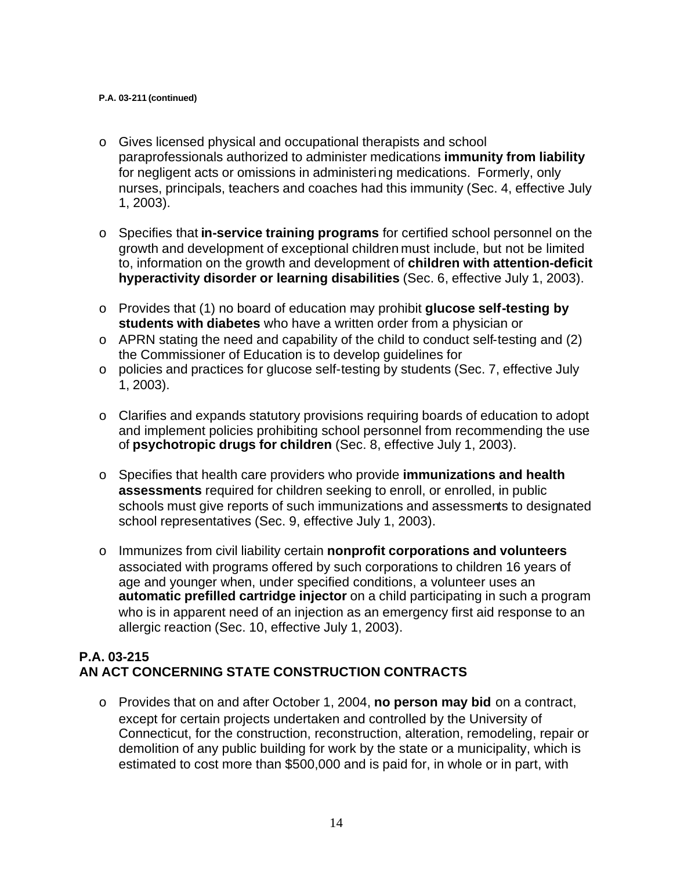#### **P.A. 03-211 (continued)**

- o Gives licensed physical and occupational therapists and school paraprofessionals authorized to administer medications **immunity from liability**  for negligent acts or omissions in administering medications. Formerly, only nurses, principals, teachers and coaches had this immunity (Sec. 4, effective July 1, 2003).
- o Specifies that **in-service training programs** for certified school personnel on the growth and development of exceptional children must include, but not be limited to, information on the growth and development of **children with attention-deficit hyperactivity disorder or learning disabilities** (Sec. 6, effective July 1, 2003).
- o Provides that (1) no board of education may prohibit **glucose self-testing by students with diabetes** who have a written order from a physician or
- o APRN stating the need and capability of the child to conduct self-testing and (2) the Commissioner of Education is to develop guidelines for
- o policies and practices for glucose self-testing by students (Sec. 7, effective July 1, 2003).
- $\circ$  Clarifies and expands statutory provisions requiring boards of education to adopt and implement policies prohibiting school personnel from recommending the use of **psychotropic drugs for children** (Sec. 8, effective July 1, 2003).
- o Specifies that health care providers who provide **immunizations and health assessments** required for children seeking to enroll, or enrolled, in public schools must give reports of such immunizations and assessments to designated school representatives (Sec. 9, effective July 1, 2003).
- o Immunizes from civil liability certain **nonprofit corporations and volunteers**  associated with programs offered by such corporations to children 16 years of age and younger when, under specified conditions, a volunteer uses an **automatic prefilled cartridge injector** on a child participating in such a program who is in apparent need of an injection as an emergency first aid response to an allergic reaction (Sec. 10, effective July 1, 2003).

#### **P.A. 03-215 AN ACT CONCERNING STATE CONSTRUCTION CONTRACTS**

o Provides that on and after October 1, 2004, **no person may bid** on a contract, except for certain projects undertaken and controlled by the University of Connecticut, for the construction, reconstruction, alteration, remodeling, repair or demolition of any public building for work by the state or a municipality, which is estimated to cost more than \$500,000 and is paid for, in whole or in part, with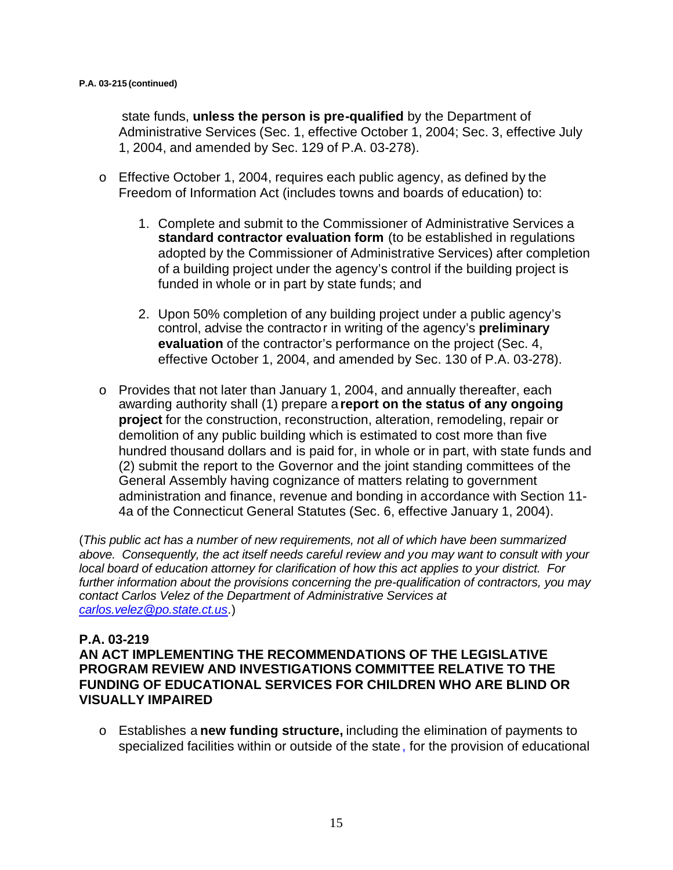state funds, **unless the person is pre-qualified** by the Department of Administrative Services (Sec. 1, effective October 1, 2004; Sec. 3, effective July 1, 2004, and amended by Sec. 129 of P.A. 03-278).

- o Effective October 1, 2004, requires each public agency, as defined by the Freedom of Information Act (includes towns and boards of education) to:
	- 1. Complete and submit to the Commissioner of Administrative Services a **standard contractor evaluation form** (to be established in regulations adopted by the Commissioner of Administrative Services) after completion of a building project under the agency's control if the building project is funded in whole or in part by state funds; and
	- 2. Upon 50% completion of any building project under a public agency's control, advise the contractor in writing of the agency's **preliminary evaluation** of the contractor's performance on the project (Sec. 4, effective October 1, 2004, and amended by Sec. 130 of P.A. 03-278).
- o Provides that not later than January 1, 2004, and annually thereafter, each awarding authority shall (1) prepare a **report on the status of any ongoing project** for the construction, reconstruction, alteration, remodeling, repair or demolition of any public building which is estimated to cost more than five hundred thousand dollars and is paid for, in whole or in part, with state funds and (2) submit the report to the Governor and the joint standing committees of the General Assembly having cognizance of matters relating to government administration and finance, revenue and bonding in accordance with Section 11- 4a of the Connecticut General Statutes (Sec. 6, effective January 1, 2004).

(*This public act has a number of new requirements, not all of which have been summarized above. Consequently, the act itself needs careful review and you may want to consult with your local board of education attorney for clarification of how this act applies to your district. For further information about the provisions concerning the pre-qualification of contractors, you may contact Carlos Velez of the Department of Administrative Services at carlos.velez@po.state.ct.us.*)

#### **P.A. 03-219 AN ACT IMPLEMENTING THE RECOMMENDATIONS OF THE LEGISLATIVE PROGRAM REVIEW AND INVESTIGATIONS COMMITTEE RELATIVE TO THE FUNDING OF EDUCATIONAL SERVICES FOR CHILDREN WHO ARE BLIND OR VISUALLY IMPAIRED**

o Establishes a **new funding structure,** including the elimination of payments to specialized facilities within or outside of the state, for the provision of educational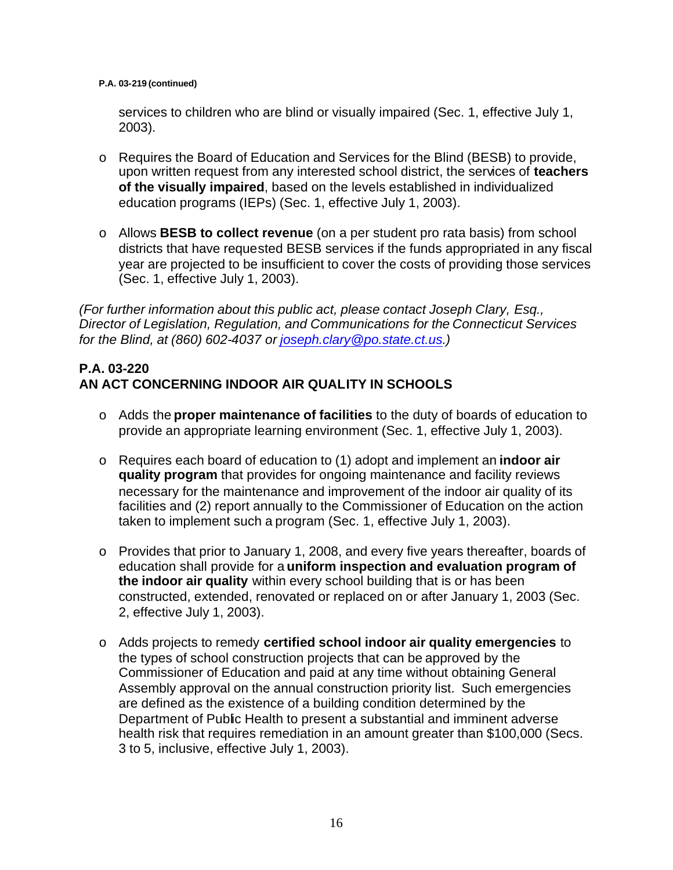#### **P.A. 03-219 (continued)**

services to children who are blind or visually impaired (Sec. 1, effective July 1, 2003).

- o Requires the Board of Education and Services for the Blind (BESB) to provide, upon written request from any interested school district, the services of **teachers of the visually impaired**, based on the levels established in individualized education programs (IEPs) (Sec. 1, effective July 1, 2003).
- o Allows **BESB to collect revenue** (on a per student pro rata basis) from school districts that have requested BESB services if the funds appropriated in any fiscal year are projected to be insufficient to cover the costs of providing those services (Sec. 1, effective July 1, 2003).

*(For further information about this public act, please contact Joseph Clary, Esq., Director of Legislation, Regulation, and Communications for the Connecticut Services for the Blind, at (860) 602-4037 or joseph.clary@po.state.ct.us.)* 

#### **P.A. 03-220 AN ACT CONCERNING INDOOR AIR QUALITY IN SCHOOLS**

- o Adds the **proper maintenance of facilities** to the duty of boards of education to provide an appropriate learning environment (Sec. 1, effective July 1, 2003).
- o Requires each board of education to (1) adopt and implement an **indoor air quality program** that provides for ongoing maintenance and facility reviews necessary for the maintenance and improvement of the indoor air quality of its facilities and (2) report annually to the Commissioner of Education on the action taken to implement such a program (Sec. 1, effective July 1, 2003).
- o Provides that prior to January 1, 2008, and every five years thereafter, boards of education shall provide for a **uniform inspection and evaluation program of the indoor air quality** within every school building that is or has been constructed, extended, renovated or replaced on or after January 1, 2003 (Sec. 2, effective July 1, 2003).
- o Adds projects to remedy **certified school indoor air quality emergencies** to the types of school construction projects that can be approved by the Commissioner of Education and paid at any time without obtaining General Assembly approval on the annual construction priority list. Such emergencies are defined as the existence of a building condition determined by the Department of Public Health to present a substantial and imminent adverse health risk that requires remediation in an amount greater than \$100,000 (Secs. 3 to 5, inclusive, effective July 1, 2003).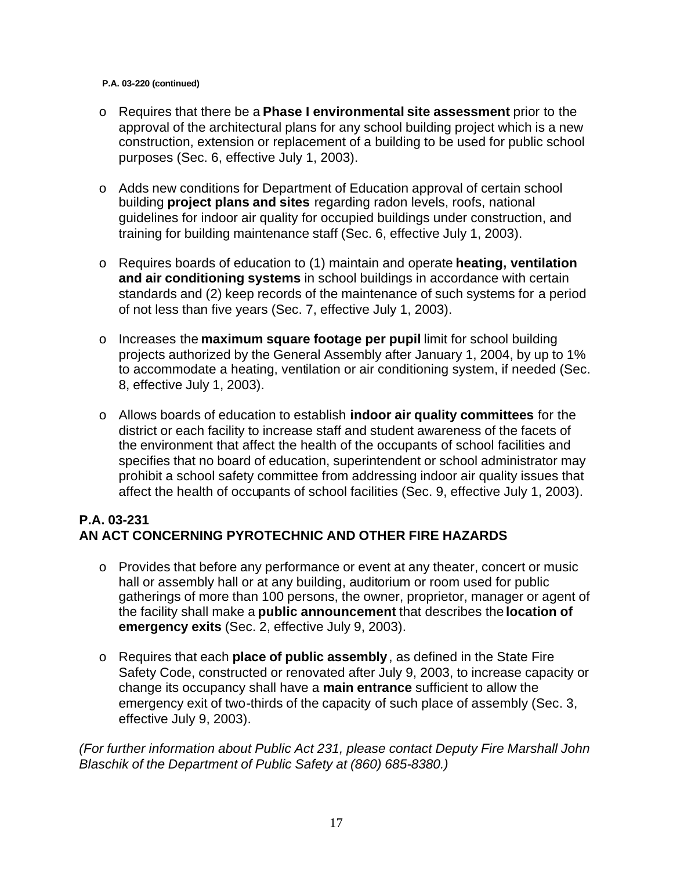#### **P.A. 03-220 (continued)**

- o Requires that there be a **Phase I environmental site assessment** prior to the approval of the architectural plans for any school building project which is a new construction, extension or replacement of a building to be used for public school purposes (Sec. 6, effective July 1, 2003).
- o Adds new conditions for Department of Education approval of certain school building **project plans and sites** regarding radon levels, roofs, national guidelines for indoor air quality for occupied buildings under construction, and training for building maintenance staff (Sec. 6, effective July 1, 2003).
- o Requires boards of education to (1) maintain and operate **heating, ventilation and air conditioning systems** in school buildings in accordance with certain standards and (2) keep records of the maintenance of such systems for a period of not less than five years (Sec. 7, effective July 1, 2003).
- o Increases the **maximum square footage per pupil** limit for school building projects authorized by the General Assembly after January 1, 2004, by up to 1% to accommodate a heating, ventilation or air conditioning system, if needed (Sec. 8, effective July 1, 2003).
- o Allows boards of education to establish **indoor air quality committees** for the district or each facility to increase staff and student awareness of the facets of the environment that affect the health of the occupants of school facilities and specifies that no board of education, superintendent or school administrator may prohibit a school safety committee from addressing indoor air quality issues that affect the health of occupants of school facilities (Sec. 9, effective July 1, 2003).

#### **P.A. 03-231 AN ACT CONCERNING PYROTECHNIC AND OTHER FIRE HAZARDS**

- o Provides that before any performance or event at any theater, concert or music hall or assembly hall or at any building, auditorium or room used for public gatherings of more than 100 persons, the owner, proprietor, manager or agent of the facility shall make a **public announcement** that describes the **location of emergency exits** (Sec. 2, effective July 9, 2003).
- o Requires that each **place of public assembly** , as defined in the State Fire Safety Code, constructed or renovated after July 9, 2003, to increase capacity or change its occupancy shall have a **main entrance** sufficient to allow the emergency exit of two-thirds of the capacity of such place of assembly (Sec. 3, effective July 9, 2003).

*(For further information about Public Act 231, please contact Deputy Fire Marshall John Blaschik of the Department of Public Safety at (860) 685-8380.)*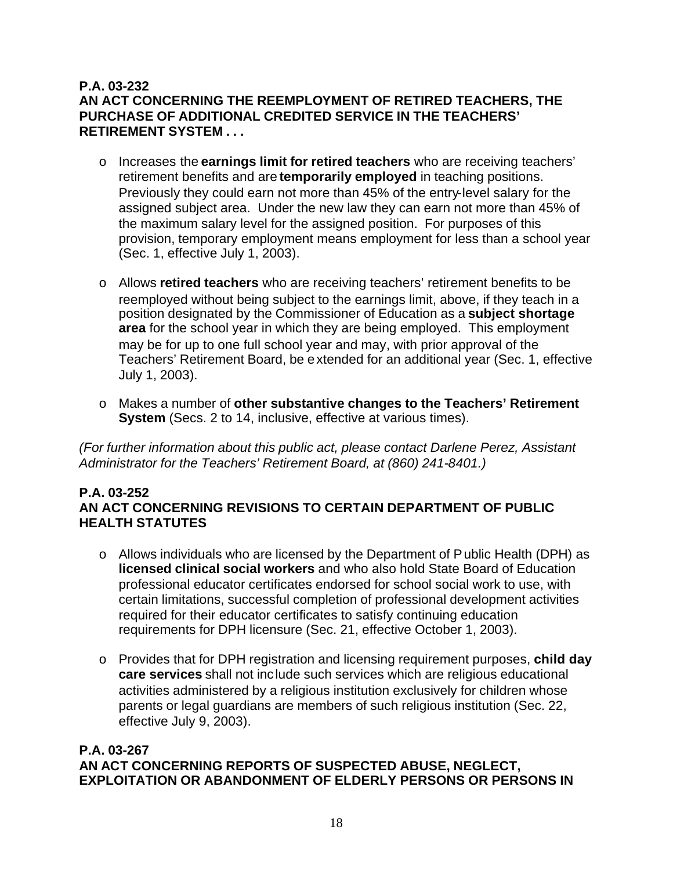#### **P.A. 03-232 AN ACT CONCERNING THE REEMPLOYMENT OF RETIRED TEACHERS, THE PURCHASE OF ADDITIONAL CREDITED SERVICE IN THE TEACHERS' RETIREMENT SYSTEM . . .**

- o Increases the **earnings limit for retired teachers** who are receiving teachers' retirement benefits and are **temporarily employed** in teaching positions. Previously they could earn not more than 45% of the entry-level salary for the assigned subject area. Under the new law they can earn not more than 45% of the maximum salary level for the assigned position. For purposes of this provision, temporary employment means employment for less than a school year (Sec. 1, effective July 1, 2003).
- o Allows **retired teachers** who are receiving teachers' retirement benefits to be reemployed without being subject to the earnings limit, above, if they teach in a position designated by the Commissioner of Education as a **subject shortage area** for the school year in which they are being employed. This employment may be for up to one full school year and may, with prior approval of the Teachers' Retirement Board, be extended for an additional year (Sec. 1, effective July 1, 2003).
- o Makes a number of **other substantive changes to the Teachers' Retirement System** (Secs. 2 to 14, inclusive, effective at various times).

*(For further information about this public act, please contact Darlene Perez, Assistant Administrator for the Teachers' Retirement Board, at (860) 241-8401.)* 

#### **P.A. 03-252 AN ACT CONCERNING REVISIONS TO CERTAIN DEPARTMENT OF PUBLIC HEALTH STATUTES**

- o Allows individuals who are licensed by the Department of Public Health (DPH) as **licensed clinical social workers** and who also hold State Board of Education professional educator certificates endorsed for school social work to use, with certain limitations, successful completion of professional development activities required for their educator certificates to satisfy continuing education requirements for DPH licensure (Sec. 21, effective October 1, 2003).
- o Provides that for DPH registration and licensing requirement purposes, **child day care services** shall not include such services which are religious educational activities administered by a religious institution exclusively for children whose parents or legal guardians are members of such religious institution (Sec. 22, effective July 9, 2003).

#### **P.A. 03-267 AN ACT CONCERNING REPORTS OF SUSPECTED ABUSE, NEGLECT, EXPLOITATION OR ABANDONMENT OF ELDERLY PERSONS OR PERSONS IN**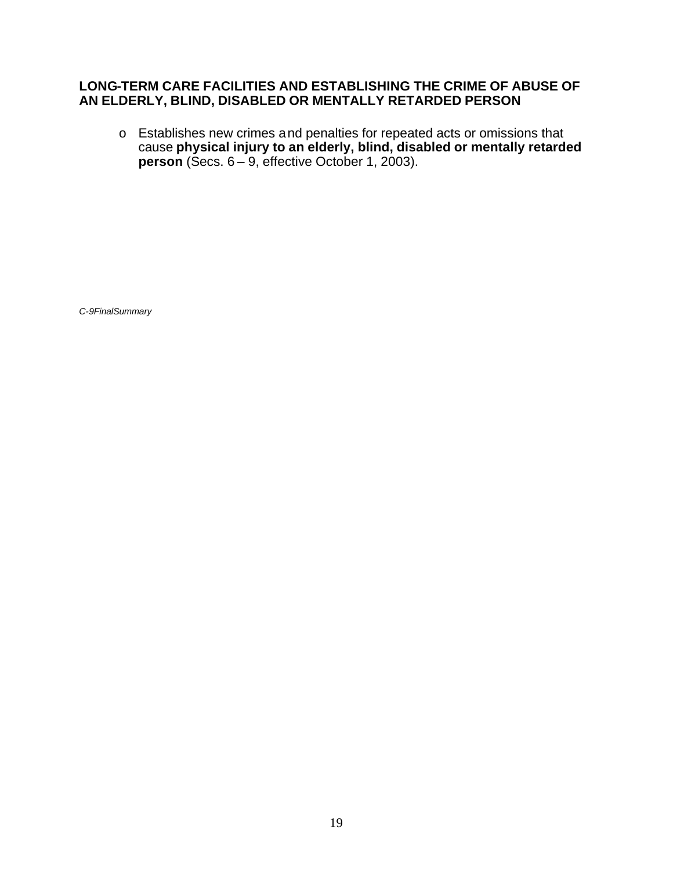#### **LONG-TERM CARE FACILITIES AND ESTABLISHING THE CRIME OF ABUSE OF AN ELDERLY, BLIND, DISABLED OR MENTALLY RETARDED PERSON**

o Establishes new crimes and penalties for repeated acts or omissions that cause **physical injury to an elderly, blind, disabled or mentally retarded person** (Secs. 6 – 9, effective October 1, 2003).

*C-9FinalSummary*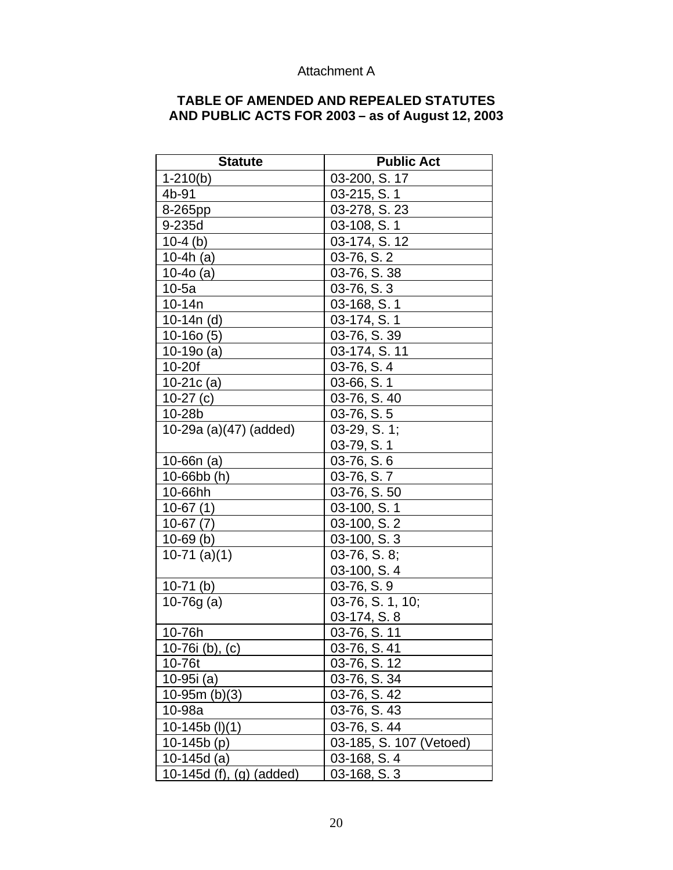# Attachment A

## **TABLE OF AMENDED AND REPEALED STATUTES AND PUBLIC ACTS FOR 2003 – as of August 12, 2003**

| <b>Statute</b>           | <b>Public Act</b>       |
|--------------------------|-------------------------|
| $1 - 210(b)$             | 03-200, S. 17           |
| 4b-91                    | 03-215, S. 1            |
| 8-265pp                  | 03-278, S. 23           |
| 9-235d                   | 03-108, S. 1            |
| $10-4$ (b)               | 03-174, S. 12           |
| 10-4 $h$ (a)             | 03-76, S. 2             |
| $10-40$ (a)              | 03-76, S. 38            |
| $10-5a$                  | 03-76, S. 3             |
| 10-14n                   | 03-168, S.1             |
| 10-14 $n$ (d)            | 03-174, S. 1            |
| $10-160(5)$              | 03-76, S. 39            |
| $10-190$ (a)             | 03-174, S. 11           |
| $10-20f$                 | 03-76, S. 4             |
| 10-21 $c$ (a)            | 03-66, S. 1             |
| $10-27(c)$               | 03-76, S. 40            |
| 10-28b                   | $03-76, S.5$            |
| 10-29a (a)(47) (added)   | 03-29, S. 1;            |
|                          | 03-79, S. 1             |
| 10-66 $n(a)$             | 03-76, S. 6             |
| 10-66bb (h)              | 03-76, S.7              |
| 10-66hh                  | 03-76, S. 50            |
| $10-67(1)$               | 03-100, S. 1            |
| $10-67(7)$               | 03-100, S. 2            |
| $10-69$ (b)              | 03-100, S. 3            |
| $10-71$ (a)(1)           | 03-76, S. 8;            |
|                          | 03-100, S. 4            |
| $10-71$ (b)              | 03-76, S. 9             |
| $10-76g(a)$              | 03-76, S. 1, 10;        |
|                          | 03-174, S. 8            |
| 10-76h                   | 03-76, S. 11            |
| 10-76i (b), (c)          | 03-76, S.41             |
| 10-76t                   | 03-76, S. 12            |
| 10-95i (a)               | 03-76, S. 34            |
| $10-95m$ (b)(3)          | 03-76, S. 42            |
| 10-98a                   | 03-76, S. 43            |
| 10-145b (l)(1)           | 03-76, S. 44            |
| $10-145b(p)$             | 03-185, S. 107 (Vetoed) |
| 10-145d (a)              | 03-168, S. 4            |
| 10-145d (f), (g) (added) | 03-168, S. 3            |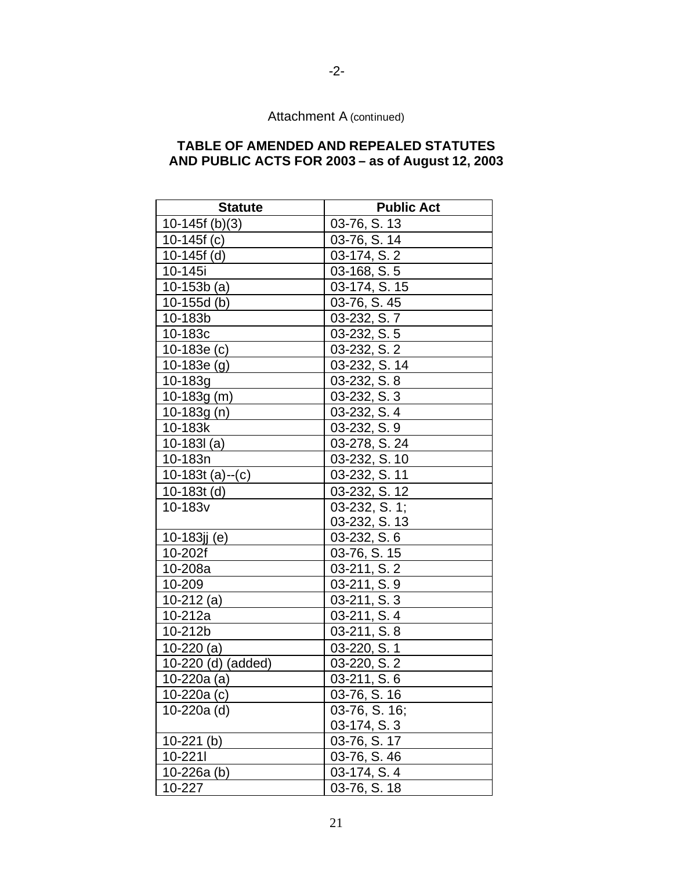# Attachment A (continued)

# **TABLE OF AMENDED AND REPEALED STATUTES AND PUBLIC ACTS FOR 2003 – as of August 12, 2003**

| <b>Statute</b>     | <b>Public Act</b> |
|--------------------|-------------------|
| $10-145f(b)(3)$    | 03-76, S. 13      |
| 10-145 $f(c)$      | 03-76, S. 14      |
| $10-145f$ (d)      | 03-174, S. 2      |
| 10-145i            | 03-168, S. 5      |
| $10-153b(a)$       | 03-174, S. 15     |
| $10-155d$ (b)      | 03-76, S. 45      |
| 10-183b            | 03-232, S.7       |
| 10-183c            | $03-232, S.5$     |
| 10-183e $(c)$      | 03-232, S. 2      |
| 10-183e $(g)$      | 03-232, S. 14     |
| $10 - 183$ g       | $03-232, S.8$     |
| $10-183g(m)$       | 03-232, S. 3      |
| 10-183g $(n)$      | 03-232, S. 4      |
| 10-183k            | 03-232, S. 9      |
| $10-1831(a)$       | 03-278, S. 24     |
| 10-183n            | 03-232, S. 10     |
| 10-183t (a)--(c)   | 03-232, S. 11     |
| $10-183t$ (d)      | 03-232, S. 12     |
| 10-183v            | $03-232, S. 1;$   |
|                    | 03-232, S. 13     |
| 10-183 $j$ $j$ (e) | $03-232, S.6$     |
| 10-202f            | 03-76, S. 15      |
| 10-208a            | 03-211, S. 2      |
| 10-209             | 03-211, S. 9      |
| $10-212$ (a)       | 03-211, S. 3      |
| 10-212a            | 03-211, S. 4      |
| 10-212b            | $03-211, S.8$     |
| $10-220$ (a)       | 03-220, S. 1      |
| 10-220 (d) (added) | 03-220, S. 2      |
| 10-220a (a)        | 03-211, S. 6      |
| 10-220a (c)        | 03-76, S. 16      |
| 10-220a (d)        | 03-76, S. 16;     |
|                    | 03-174, S. 3      |
| $10-221$ (b)       | 03-76, S. 17      |
| 10-2211            | 03-76, S. 46      |
| 10-226a (b)        | 03-174, S. 4      |
| 10-227             | 03-76, S. 18      |

-2-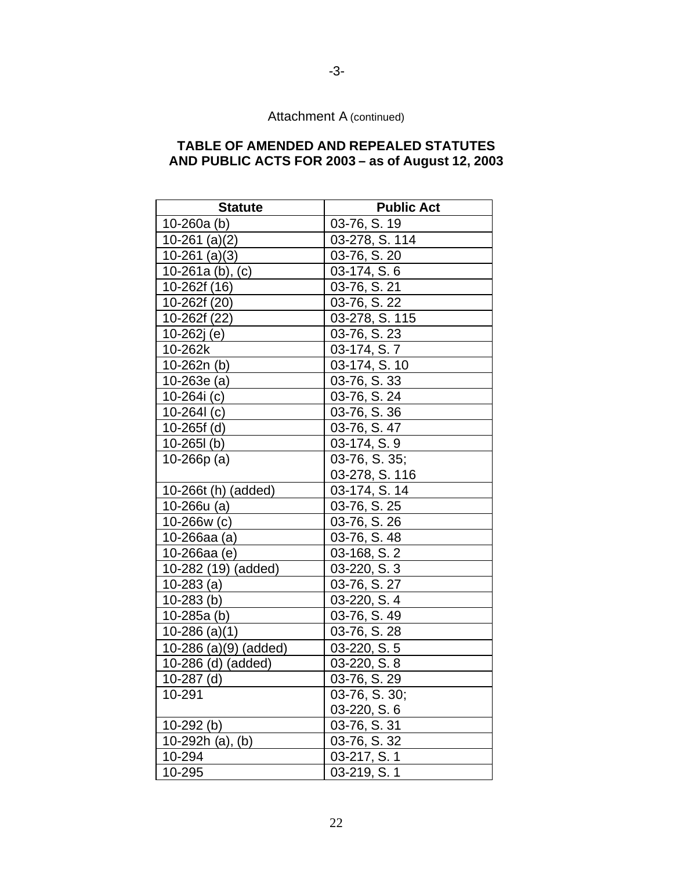# Attachment A (continued)

# **TABLE OF AMENDED AND REPEALED STATUTES AND PUBLIC ACTS FOR 2003 – as of August 12, 2003**

| <b>Statute</b>        | <b>Public Act</b> |
|-----------------------|-------------------|
| 10-260a (b)           | 03-76, S. 19      |
| $10-261$ (a)(2)       | 03-278, S. 114    |
| $10-261$ (a)(3)       | 03-76, S. 20      |
| 10-261a (b), (c)      | 03-174, S. 6      |
| 10-262f (16)          | 03-76, S. 21      |
| 10-262f (20)          | 03-76, S. 22      |
| 10-262f (22)          | 03-278, S. 115    |
| 10-262j (e)           | 03-76, S. 23      |
| 10-262k               | 03-174, S.7       |
| 10-262 $n$ (b)        | 03-174, S. 10     |
| $10-263e(a)$          | 03-76, S. 33      |
| 10-264i (c)           | 03-76, S. 24      |
| 10-264 $(c)$          | 03-76, S. 36      |
| $10-265f$ (d)         | 03-76, S. 47      |
| $10-265$ (b)          | 03-174, S. 9      |
| 10-266p (a)           | 03-76, S. 35;     |
|                       | 03-278, S. 116    |
| 10-266t (h) (added)   | 03-174, S. 14     |
| 10-266u (a)           | 03-76, S. 25      |
| 10-266w (c)           | 03-76, S. 26      |
| 10-266aa (a)          | 03-76, S. 48      |
| 10-266aa (e)          | 03-168, S. 2      |
| 10-282 (19) (added)   | $03-220, S.3$     |
| $10-283(a)$           | 03-76, S. 27      |
| $10-283$ (b)          | 03-220, S. 4      |
| 10-285a $(b)$         | 03-76, S. 49      |
| 10-286 $(a)(1)$       | 03-76, S. 28      |
| 10-286 (a)(9) (added) | 03-220, S. 5      |
| 10-286 (d) (added)    | 03-220, S. 8      |
| 10-287 (d)            | 03-76, S. 29      |
| 10-291                | 03-76, S. 30;     |
|                       | 03-220, S. 6      |
| $10-292$ (b)          | 03-76, S. 31      |
| 10-292h (a), (b)      | 03-76, S. 32      |
| 10-294                | 03-217, S. 1      |
| 10-295                | 03-219, S. 1      |